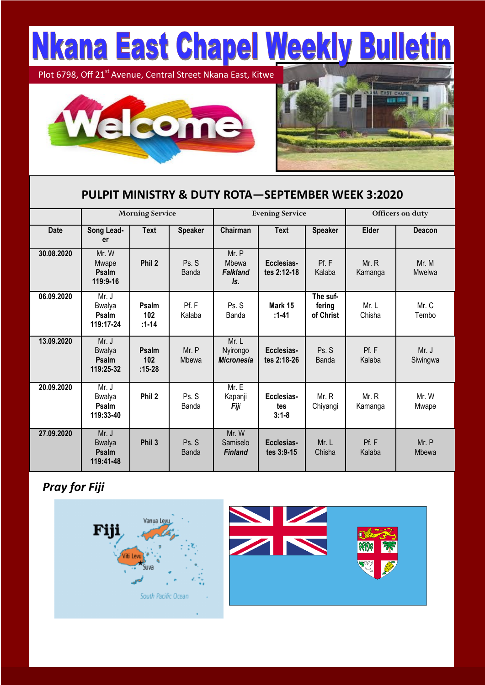

## **PULPIT MINISTRY & DUTY ROTA—SEPTEMBER WEEK 3:2020**

|             | <b>Morning Service</b>                       |                           |                | <b>Evening Service</b>                   |                                |                                 | Officers on duty |                   |
|-------------|----------------------------------------------|---------------------------|----------------|------------------------------------------|--------------------------------|---------------------------------|------------------|-------------------|
| <b>Date</b> | Song Lead-<br>er                             | <b>Text</b>               | <b>Speaker</b> | Chairman                                 | <b>Text</b>                    | <b>Speaker</b>                  | <b>Elder</b>     | Deacon            |
| 30.08.2020  | Mr. W<br>Mwape<br>Psalm<br>119:9-16          | Phil 2                    | Ps. S<br>Banda | Mr. P<br>Mbewa<br><b>Falkland</b><br>Is. | Ecclesias-<br>tes 2:12-18      | Pf.F<br>Kalaba                  | Mr. R<br>Kamanga | Mr. M<br>Mwelwa   |
| 06.09.2020  | Mr. J<br>Bwalya<br>Psalm<br>119:17-24        | Psalm<br>102<br>$:1 - 14$ | Pf.F<br>Kalaba | Ps. S<br>Banda                           | Mark 15<br>$:1 - 41$           | The suf-<br>fering<br>of Christ | Mr. L<br>Chisha  | Mr. C<br>Tembo    |
| 13.09.2020  | Mr. J<br><b>Bwalya</b><br>Psalm<br>119:25-32 | Psalm<br>102<br>$:15-28$  | Mr. P<br>Mbewa | Mr. L<br>Nyirongo<br><b>Micronesia</b>   | Ecclesias-<br>tes 2:18-26      | Ps.S<br>Banda                   | Pf.F<br>Kalaba   | Mr. J<br>Siwingwa |
| 20.09.2020  | Mr. J<br>Bwalya<br>Psalm<br>119:33-40        | Phil 2                    | Ps. S<br>Banda | Mr. E<br>Kapanji<br>Fiji                 | Ecclesias-<br>tes<br>$3:1 - 8$ | Mr. R<br>Chiyangi               | Mr. R<br>Kamanga | Mr. W<br>Mwape    |
| 27.09.2020  | Mr. J<br><b>Bwalya</b><br>Psalm<br>119:41-48 | Phil <sub>3</sub>         | Ps. S<br>Banda | Mr. W<br>Samiselo<br><b>Finland</b>      | Ecclesias-<br>tes 3:9-15       | Mr. L<br>Chisha                 | Pf.F<br>Kalaba   | Mr. P<br>Mbewa    |

# *Pray for Fiji*

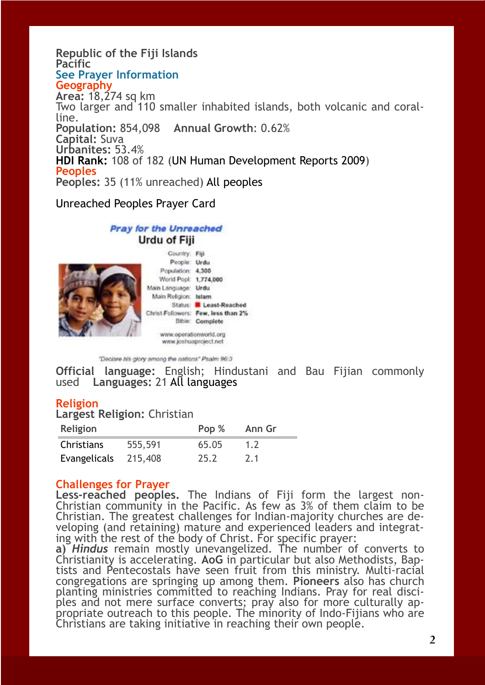**Republic of the Fiji Islands Pacific See Prayer Information Geography Area:** 18,274 sq km Two larger and 110 smaller inhabited islands, both volcanic and coralline. **Population:** 854,098 **Annual Growth**: 0.62% **Capital:** Suva **Urbanites:** 53.4% **HDI Rank:** 108 of 182 (UN Human Development Reports 2009) **Peoples Peoples:** 35 (11% unreached) All peoples

Unreached Peoples Prayer Card

### Pray for the Unreached Urdu of Fiji



"Declare his glory among the nations" Psalm 96:3

**Official language:** English; Hindustani and Bau Fijian commonly used **Languages:** 21 All languages

#### **Religion**

**Largest Religion:** Christian

| Religion             |         | Pop % | Ann Gr |  |
|----------------------|---------|-------|--------|--|
| Christians           | 555,591 | 65.05 | 1.2    |  |
| Evangelicals 215,408 |         | 25.2  | 2.1    |  |

#### **Challenges for Prayer**

**Less-reached peoples.** The Indians of Fiji form the largest non-Christian community in the Pacific. As few as 3% of them claim to be Christian. The greatest challenges for Indian-majority churches are developing (and retaining) mature and experienced leaders and integrating with the rest of the body of Christ. For specific prayer:

**a)** *Hindus* remain mostly unevangelized. The number of converts to Christianity is accelerating. **AoG** in particular but also Methodists, Baptists and Pentecostals have seen fruit from this ministry. Multi-racial congregations are springing up among them. **Pioneers** also has church planting ministries committed to reaching Indians. Pray for real disciples and not mere surface converts; pray also for more culturally appropriate outreach to this people. The minority of Indo-Fijians who are Christians are taking initiative in reaching their own people.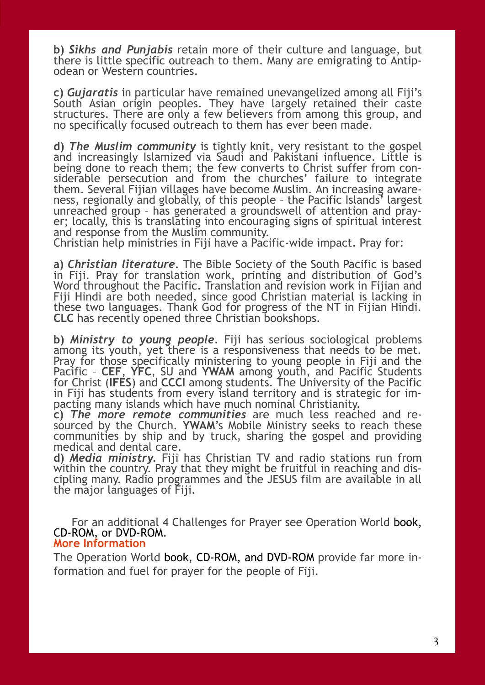**b)** *Sikhs and Punjabis* retain more of their culture and language, but there is little specific outreach to them. Many are emigrating to Antipodean or Western countries.

**c)** *Gujaratis* in particular have remained unevangelized among all Fiji's South Asian origin peoples. They have largely retained their caste structures. There are only a few believers from among this group, and no specifically focused outreach to them has ever been made.

**d)** *The Muslim community* is tightly knit, very resistant to the gospel and increasingly Islamized via Saudi and Pakistani influence. Little is being done to reach them; the few converts to Christ suffer from considerable persecution and from the churches' failure to integrate them. Several Fijian villages have become Muslim. An increasing awareness, regionally and globally, of this people – the Pacific Islands' largest unreached group – has generated a groundswell of attention and prayer; locally, this is translating into encouraging signs of spiritual interest and response from the Muslim community.

Christian help ministries in Fiji have a Pacific-wide impact. Pray for:

**a)** *Christian literature.* The Bible Society of the South Pacific is based in Fiji. Pray for translation work, printing and distribution of God's Word throughout the Pacific. Translation and revision work in Fijian and Fiji Hindi are both needed, since good Christian material is lacking in these two languages. Thank God for progress of the NT in Fijian Hindi. **CLC** has recently opened three Christian bookshops.

**b)** *Ministry to young people.* Fiji has serious sociological problems among its youth, yet there is a responsiveness that needs to be met. Pray for those specifically ministering to young people in Fiji and the Pacific – **CEF**, **YFC**, SU and **YWAM** among youth, and Pacific Students for Christ (**IFES**) and **CCCI** among students. The University of the Pacific in Fiji has students from every island territory and is strategic for impacting many islands which have much nominal Christianity.

**c)** *The more remote communities* are much less reached and resourced by the Church. **YWAM**'s Mobile Ministry seeks to reach these communities by ship and by truck, sharing the gospel and providing medical and dental care.

**d)** *Media ministry.* Fiji has Christian TV and radio stations run from within the country. Pray that they might be fruitful in reaching and discipling many. Radio programmes and the JESUS film are available in all the major languages of Fiji.

 For an additional 4 Challenges for Prayer see Operation World book, CD-ROM, or DVD-ROM.

#### **More Information**

The Operation World book, CD-ROM, and DVD-ROM provide far more information and fuel for prayer for the people of Fiji.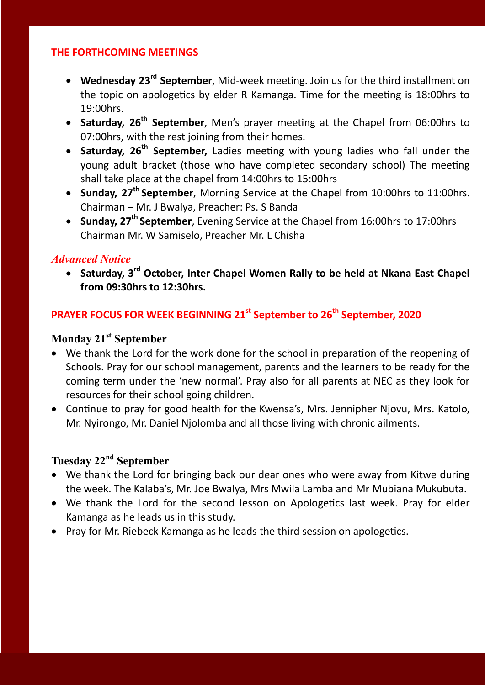### **THE FORTHCOMING MEETINGS**

- **Wednesday 23rd September**, Mid-week meeting. Join us for the third installment on the topic on apologetics by elder R Kamanga. Time for the meeting is 18:00hrs to 19:00hrs.
- **Saturday, 26th September**, Men's prayer meeting at the Chapel from 06:00hrs to 07:00hrs, with the rest joining from their homes.
- **Saturday, 26th September,** Ladies meeting with young ladies who fall under the young adult bracket (those who have completed secondary school) The meeting shall take place at the chapel from 14:00hrs to 15:00hrs
- **Sunday, 27th September**, Morning Service at the Chapel from 10:00hrs to 11:00hrs. Chairman – Mr. J Bwalya, Preacher: Ps. S Banda
- **Sunday, 27th September**, Evening Service at the Chapel from 16:00hrs to 17:00hrs Chairman Mr. W Samiselo, Preacher Mr. L Chisha

### *Advanced Notice*

 **Saturday, 3rd October, Inter Chapel Women Rally to be held at Nkana East Chapel from 09:30hrs to 12:30hrs.**

### **PRAYER FOCUS FOR WEEK BEGINNING 21st September to 26th September, 2020**

### **Monday 21st September**

- We thank the Lord for the work done for the school in preparation of the reopening of Schools. Pray for our school management, parents and the learners to be ready for the coming term under the 'new normal'. Pray also for all parents at NEC as they look for resources for their school going children.
- Continue to pray for good health for the Kwensa's, Mrs. Jennipher Njovu, Mrs. Katolo, Mr. Nyirongo, Mr. Daniel Njolomba and all those living with chronic ailments.

# **Tuesday 22nd September**

- We thank the Lord for bringing back our dear ones who were away from Kitwe during the week. The Kalaba's, Mr. Joe Bwalya, Mrs Mwila Lamba and Mr Mubiana Mukubuta.
- We thank the Lord for the second lesson on Apologetics last week. Pray for elder Kamanga as he leads us in this study.
- Pray for Mr. Riebeck Kamanga as he leads the third session on apologetics.